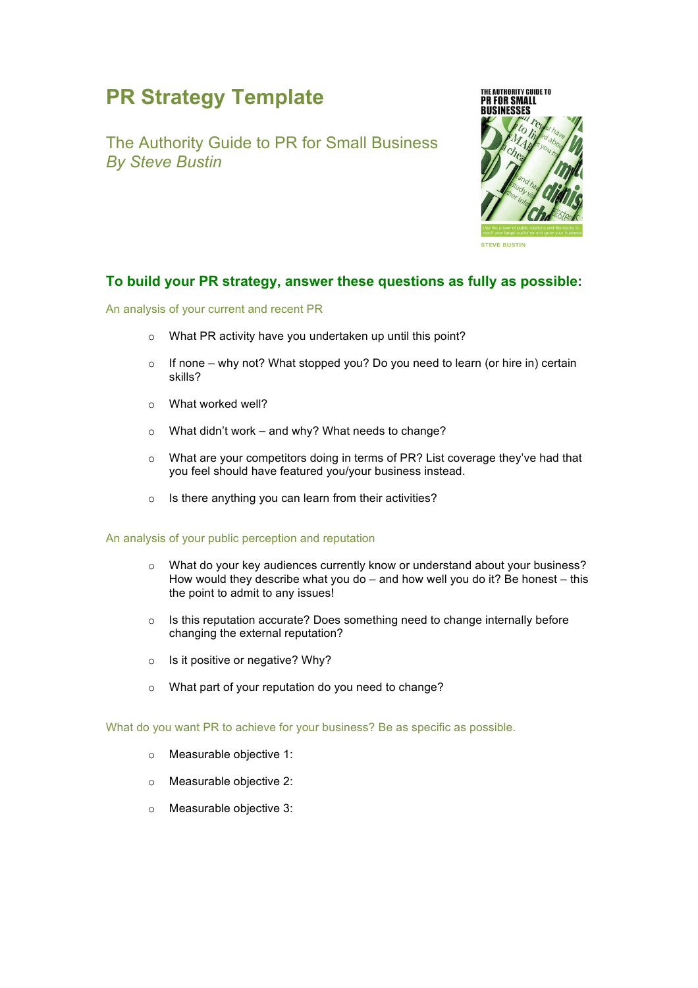# **PR Strategy Template**

The Authority Guide to PR for Small Business *By Steve Bustin*



## **To build your PR strategy, answer these questions as fully as possible:**

An analysis of your current and recent PR

- o What PR activity have you undertaken up until this point?
- $\circ$  If none why not? What stopped you? Do you need to learn (or hire in) certain skills?
- o What worked well?
- o What didn't work and why? What needs to change?
- $\circ$  What are your competitors doing in terms of PR? List coverage they've had that you feel should have featured you/your business instead.
- o Is there anything you can learn from their activities?

#### An analysis of your public perception and reputation

- o What do your key audiences currently know or understand about your business? How would they describe what you do  $-$  and how well you do it? Be honest  $-$  this the point to admit to any issues!
- o Is this reputation accurate? Does something need to change internally before changing the external reputation?
- o Is it positive or negative? Why?
- o What part of your reputation do you need to change?

What do you want PR to achieve for your business? Be as specific as possible.

- o Measurable objective 1:
- o Measurable objective 2:
- o Measurable objective 3: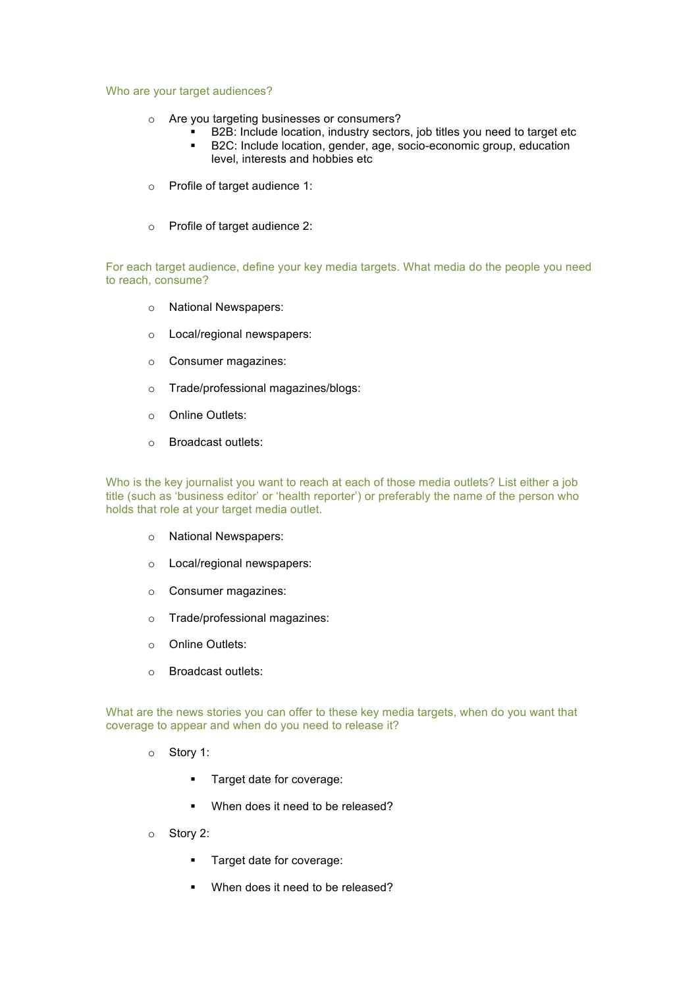#### Who are your target audiences?

- o Are you targeting businesses or consumers?
	- B2B: Include location, industry sectors, job titles you need to target etc ■ B2C: Include location, gender, age, socio-economic group, education
	- level, interests and hobbies etc
- o Profile of target audience 1:
- o Profile of target audience 2:

For each target audience, define your key media targets. What media do the people you need to reach, consume?

- o National Newspapers:
- o Local/regional newspapers:
- o Consumer magazines:
- o Trade/professional magazines/blogs:
- o Online Outlets:
- o Broadcast outlets:

Who is the key journalist you want to reach at each of those media outlets? List either a job title (such as 'business editor' or 'health reporter') or preferably the name of the person who holds that role at your target media outlet.

- o National Newspapers:
- o Local/regional newspapers:
- o Consumer magazines:
- o Trade/professional magazines:
- o Online Outlets:
- o Broadcast outlets:

What are the news stories you can offer to these key media targets, when do you want that coverage to appear and when do you need to release it?

- o Story 1:
	- **•** Target date for coverage:
	- When does it need to be released?
- o Story 2:
	- **•** Target date for coverage:
	- When does it need to be released?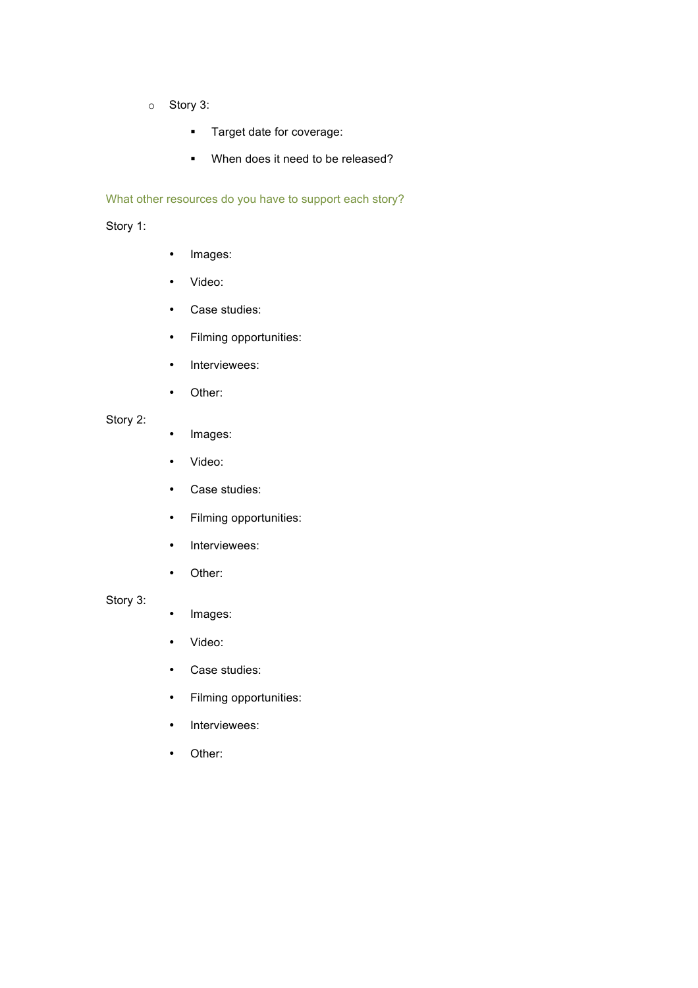- o Story 3:
	- **•** Target date for coverage:
	- When does it need to be released?

### What other resources do you have to support each story?

## Story 1:

- Images:
- Video:
- Case studies:
- Filming opportunities:
- Interviewees:
- Other:

## Story 2:

- Images:
- Video:
- Case studies:
- Filming opportunities:
- Interviewees:
- Other:

## Story 3:

- Images:
- Video:
- Case studies:
- Filming opportunities:
- Interviewees:
- Other: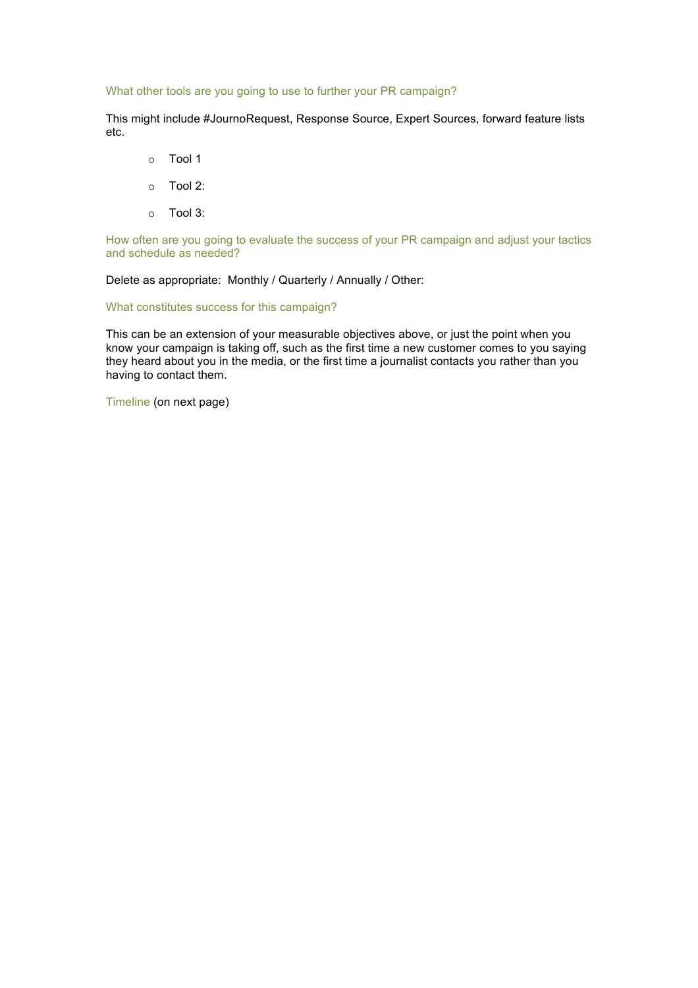#### What other tools are you going to use to further your PR campaign?

This might include #JournoRequest, Response Source, Expert Sources, forward feature lists etc.

- o Tool 1
- o Tool 2:
- o Tool 3:

How often are you going to evaluate the success of your PR campaign and adjust your tactics and schedule as needed?

Delete as appropriate: Monthly / Quarterly / Annually / Other:

What constitutes success for this campaign?

This can be an extension of your measurable objectives above, or just the point when you know your campaign is taking off, such as the first time a new customer comes to you saying they heard about you in the media, or the first time a journalist contacts you rather than you having to contact them.

Timeline (on next page)